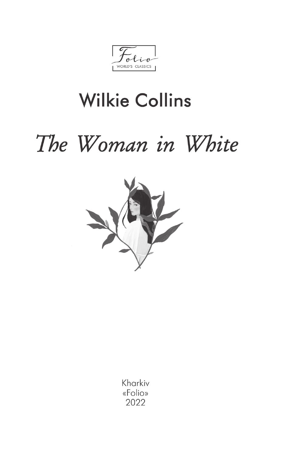$\mathbf{r}$ WORLD'S CLASSICS

## **Wilkie Collins**

# The Woman in White



Kharkiv «Folio» 2022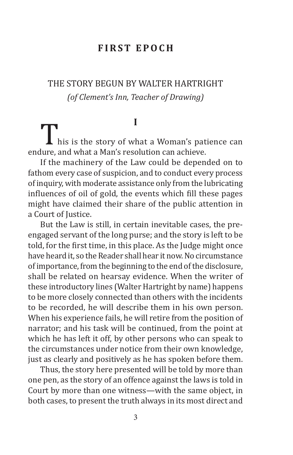#### **First Epoch**

#### THE STORY BEGUN BY WALTER HARTRIGHT *(of Clement's Inn, Teacher of Drawing)*

#### **I**

I his is the story of what a Woman's patience can endure, and what a Man's resolution can achieve.

If the machinery of the Law could be depended on to fathom every case of suspicion, and to conduct every process of inquiry, with moderate assistance only from the lubricating influences of oil of gold, the events which fill these pages might have claimed their share of the public attention in a Court of Justice.

But the Law is still, in certain inevitable cases, the preengaged servant of the long purse; and the story is left to be told, for the first time, in this place. As the Judge might once have heard it, so the Reader shall hear it now. No circumstance of importance, from the beginning to the end of the disclosure, shall be related on hearsay evidence. When the writer of these introductory lines (Walter Hartright by name) happens to be more closely connected than others with the incidents to be recorded, he will describe them in his own person. When his experience fails, he will retire from the position of narrator; and his task will be continued, from the point at which he has left it off, by other persons who can speak to the circumstances under notice from their own knowledge, just as clearly and positively as he has spoken before them.

Thus, the story here presented will be told by more than one pen, as the story of an offence against the laws is told in Court by more than one witness—with the same object, in both cases, to present the truth always in its most direct and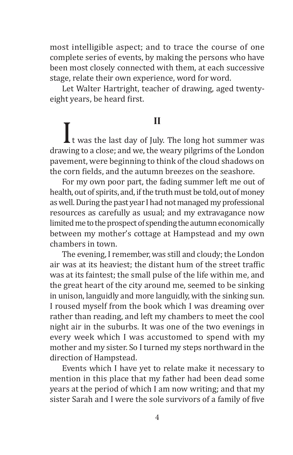most intelligible aspect; and to trace the course of one complete series of events, by making the persons who have been most closely connected with them, at each successive stage, relate their own experience, word for word.

Let Walter Hartright, teacher of drawing, aged twentyeight years, be heard first.

**II**<br>drawing to a close; and we, the weary pilgrims of the London<br>drawing to a close; and we, the weary pilgrims of the London pavement, were beginning to think of the cloud shadows on the corn fields, and the autumn breezes on the seashore.

For my own poor part, the fading summer left me out of health, out of spirits, and, if the truth must be told, out of money as well. During the past year I had not managed my professional resources as carefully as usual; and my extravagance now limited me to the prospect of spending the autumn economically between my mother's cottage at Hampstead and my own chambers in town.

The evening, I remember, was still and cloudy; the London air was at its heaviest; the distant hum of the street traffic was at its faintest; the small pulse of the life within me, and the great heart of the city around me, seemed to be sinking in unison, languidly and more languidly, with the sinking sun. I roused myself from the book which I was dreaming over rather than reading, and left my chambers to meet the cool night air in the suburbs. It was one of the two evenings in every week which I was accustomed to spend with my mother and my sister. So I turned my steps northward in the direction of Hampstead.

Events which I have yet to relate make it necessary to mention in this place that my father had been dead some years at the period of which I am now writing; and that my sister Sarah and I were the sole survivors of a family of five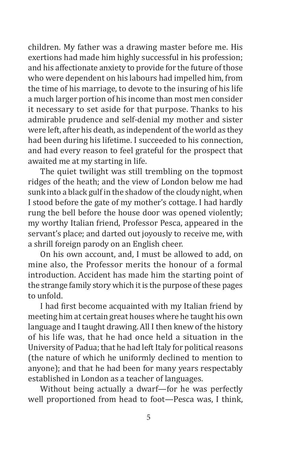children. My father was a drawing master before me. His exertions had made him highly successful in his profession; and his affectionate anxiety to provide for the future of those who were dependent on his labours had impelled him, from the time of his marriage, to devote to the insuring of his life a much larger portion of his income than most men consider it necessary to set aside for that purpose. Thanks to his admirable prudence and self-denial my mother and sister were left, after his death, as independent of the world as they had been during his lifetime. I succeeded to his connection, and had every reason to feel grateful for the prospect that awaited me at my starting in life.

The quiet twilight was still trembling on the topmost ridges of the heath; and the view of London below me had sunk into a black gulf in the shadow of the cloudy night, when I stood before the gate of my mother's cottage. I had hardly rung the bell before the house door was opened violently; my worthy Italian friend, Professor Pesca, appeared in the servant's place; and darted out joyously to receive me, with a shrill foreign parody on an English cheer.

On his own account, and, I must be allowed to add, on mine also, the Professor merits the honour of a formal introduction. Accident has made him the starting point of the strange family story which it is the purpose of these pages to unfold.

I had first become acquainted with my Italian friend by meeting him at certain great houses where he taught his own language and I taught drawing. All I then knew of the history of his life was, that he had once held a situation in the University of Padua; that he had left Italy for political reasons (the nature of which he uniformly declined to mention to anyone); and that he had been for many years respectably established in London as a teacher of languages.

Without being actually a dwarf—for he was perfectly well proportioned from head to foot—Pesca was, I think,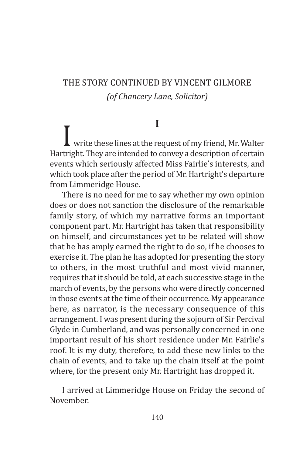#### THE STORY CONTINUED BY VINCENT GILMORE *(of Chancery Lane, Solicitor)*

#### **I**

 $\blacksquare$  write these lines at the request of my friend, Mr. Walter Hartright. They are intended to convey a description of certain events which seriously affected Miss Fairlie's interests, and which took place after the period of Mr. Hartright's departure from Limmeridge House.

There is no need for me to say whether my own opinion does or does not sanction the disclosure of the remarkable family story, of which my narrative forms an important component part. Mr. Hartright has taken that responsibility on himself, and circumstances yet to be related will show that he has amply earned the right to do so, if he chooses to exercise it. The plan he has adopted for presenting the story to others, in the most truthful and most vivid manner, requires that it should be told, at each successive stage in the march of events, by the persons who were directly concerned in those events at the time of their occurrence. My appearance here, as narrator, is the necessary consequence of this arrangement. I was present during the sojourn of Sir Percival Glyde in Cumberland, and was personally concerned in one important result of his short residence under Mr. Fairlie's roof. It is my duty, therefore, to add these new links to the chain of events, and to take up the chain itself at the point where, for the present only Mr. Hartright has dropped it.

I arrived at Limmeridge House on Friday the second of November.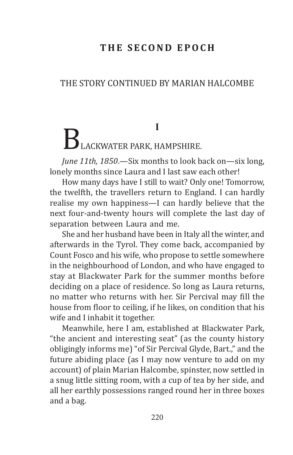#### **T h e s econd epoch**

#### THE STORY CONTINUED BY MARIAN HALCOMBE

### **I** BLACKWATER PARK, HAMPSHIRE.

*June 11th, 1850*.—Six months to look back on—six long, lonely months since Laura and I last saw each other!

How many days have I still to wait? Only one! Tomorrow, the twelfth, the travellers return to England. I can hardly realise my own happiness—I can hardly believe that the next four-and-twenty hours will complete the last day of separation between Laura and me.

She and her husband have been in Italy all the winter, and afterwards in the Tyrol. They come back, accompanied by Count Fosco and his wife, who propose to settle somewhere in the neighbourhood of London, and who have engaged to stay at Blackwater Park for the summer months before deciding on a place of residence. So long as Laura returns, no matter who returns with her. Sir Percival may fill the house from floor to ceiling, if he likes, on condition that his wife and I inhabit it together.

Meanwhile, here I am, established at Blackwater Park, "the ancient and interesting seat" (as the county history obligingly informs me) "of Sir Percival Glyde, Bart.," and the future abiding place (as I may now venture to add on my account) of plain Marian Halcombe, spinster, now settled in a snug little sitting room, with a cup of tea by her side, and all her earthly possessions ranged round her in three boxes and a bag.